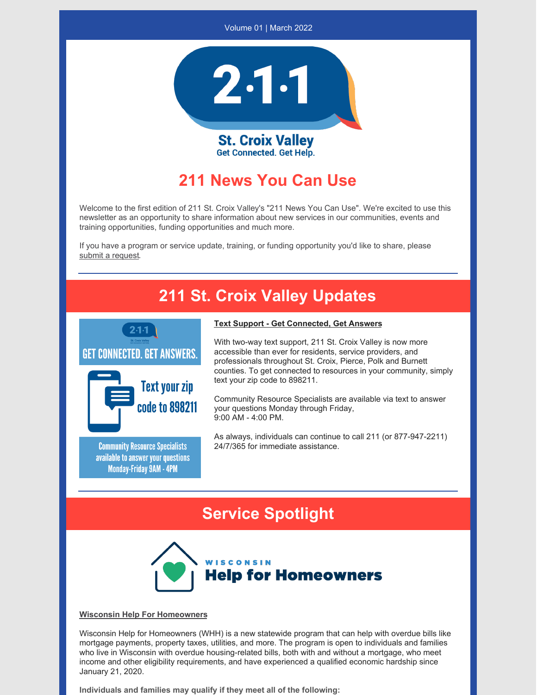



**St. Croix Valley Get Connected. Get Help.** 

## **211 News You Can Use**

Welcome to the first edition of 211 St. Croix Valley's "211 News You Can Use". We're excited to use this newsletter as an opportunity to share information about new services in our communities, events and training opportunities, funding opportunities and much more.

If you have a program or service update, training, or funding opportunity you'd like to share, please submit a [request](https://forms.office.com/r/BvpRbnn6uF).

# **211 St. Croix Valley Updates**





**Community Resource Specialists** available to answer your questions **Monday-Friday 9AM - 4PM** 

### **Text Support - Get Connected, Get Answers**

With two-way text support, 211 St. Croix Valley is now more accessible than ever for residents, service providers, and professionals throughout St. Croix, Pierce, Polk and Burnett counties. To get connected to resources in your community, simply text your zip code to 898211.

Community Resource Specialists are available via text to answer your questions Monday through Friday, 9:00 AM - 4:00 PM.

As always, individuals can continue to call 211 (or 877-947-2211) 24/7/365 for immediate assistance.

## **Service Spotlight**



#### **Wisconsin Help For Homeowners**

Wisconsin Help for Homeowners (WHH) is a new statewide program that can help with overdue bills like mortgage payments, property taxes, utilities, and more. The program is open to individuals and families who live in Wisconsin with overdue housing-related bills, both with and without a mortgage, who meet income and other eligibility requirements, and have experienced a qualified economic hardship since January 21, 2020.

**Individuals and families may qualify if they meet all of the following:**